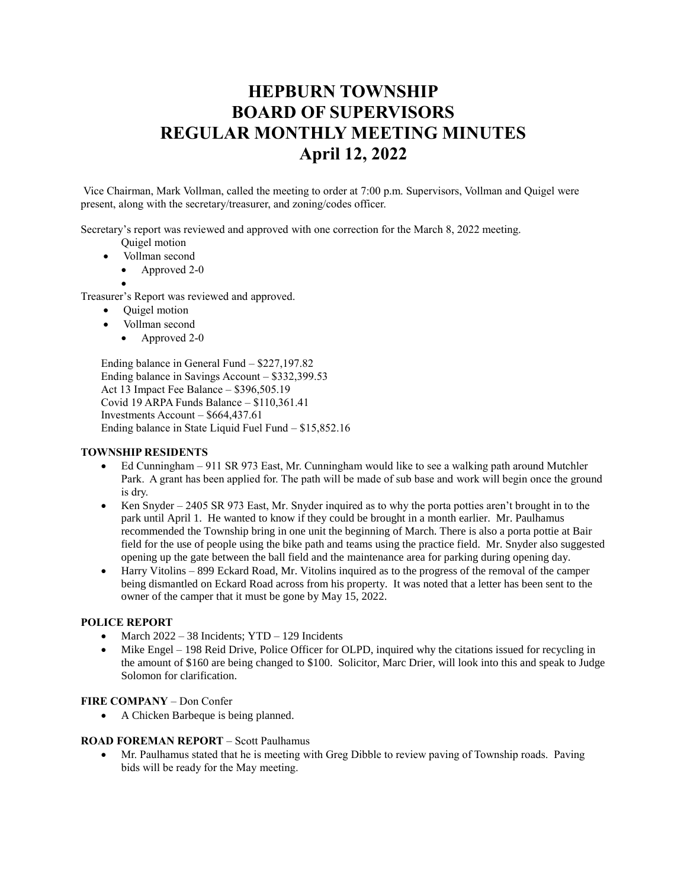# **HEPBURN TOWNSHIP BOARD OF SUPERVISORS REGULAR MONTHLY MEETING MINUTES April 12, 2022**

Vice Chairman, Mark Vollman, called the meeting to order at 7:00 p.m. Supervisors, Vollman and Quigel were present, along with the secretary/treasurer, and zoning/codes officer.

Secretary's report was reviewed and approved with one correction for the March 8, 2022 meeting.

- Quigel motion
- Vollman second
	- Approved 2-0
	- •

Treasurer's Report was reviewed and approved.

- Quigel motion
- Vollman second
	- Approved 2-0

Ending balance in General Fund – \$227,197.82 Ending balance in Savings Account – \$332,399.53 Act 13 Impact Fee Balance – \$396,505.19 Covid 19 ARPA Funds Balance – \$110,361.41 Investments Account – \$664,437.61 Ending balance in State Liquid Fuel Fund – \$15,852.16

# **TOWNSHIP RESIDENTS**

- Ed Cunningham 911 SR 973 East, Mr. Cunningham would like to see a walking path around Mutchler Park. A grant has been applied for. The path will be made of sub base and work will begin once the ground is dry.
- Ken Snyder 2405 SR 973 East, Mr. Snyder inquired as to why the porta potties aren't brought in to the park until April 1. He wanted to know if they could be brought in a month earlier. Mr. Paulhamus recommended the Township bring in one unit the beginning of March. There is also a porta pottie at Bair field for the use of people using the bike path and teams using the practice field. Mr. Snyder also suggested opening up the gate between the ball field and the maintenance area for parking during opening day.
- Harry Vitolins 899 Eckard Road, Mr. Vitolins inquired as to the progress of the removal of the camper being dismantled on Eckard Road across from his property. It was noted that a letter has been sent to the owner of the camper that it must be gone by May 15, 2022.

## **POLICE REPORT**

- March  $2022 38$  Incidents; YTD  $-129$  Incidents
- Mike Engel 198 Reid Drive, Police Officer for OLPD, inquired why the citations issued for recycling in the amount of \$160 are being changed to \$100. Solicitor, Marc Drier, will look into this and speak to Judge Solomon for clarification.

## **FIRE COMPANY** – Don Confer

• A Chicken Barbeque is being planned.

## **ROAD FOREMAN REPORT** – Scott Paulhamus

• Mr. Paulhamus stated that he is meeting with Greg Dibble to review paving of Township roads. Paving bids will be ready for the May meeting.